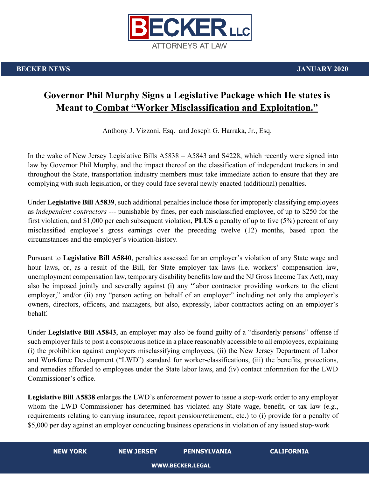

## **Governor Phil Murphy Signs a Legislative Package which He states is Meant to Combat "Worker Misclassification and Exploitation."**

Anthony J. Vizzoni, Esq. and Joseph G. Harraka, Jr., Esq.

In the wake of New Jersey Legislative Bills A5838 – A5843 and S4228, which recently were signed into law by Governor Phil Murphy, and the impact thereof on the classification of independent truckers in and throughout the State, transportation industry members must take immediate action to ensure that they are complying with such legislation, or they could face several newly enacted (additional) penalties.

Under **Legislative Bill A5839**, such additional penalties include those for improperly classifying employees as *independent contractors* --- punishable by fines, per each misclassified employee, of up to \$250 for the first violation, and \$1,000 per each subsequent violation, **PLUS** a penalty of up to five (5%) percent of any misclassified employee's gross earnings over the preceding twelve (12) months, based upon the circumstances and the employer's violation-history.

Pursuant to **Legislative Bill A5840**, penalties assessed for an employer's violation of any State wage and hour laws, or, as a result of the Bill, for State employer tax laws (i.e. workers' compensation law, unemployment compensation law, temporary disability benefits law and the NJ Gross Income Tax Act), may also be imposed jointly and severally against (i) any "labor contractor providing workers to the client employer," and/or (ii) any "person acting on behalf of an employer" including not only the employer's owners, directors, officers, and managers, but also, expressly, labor contractors acting on an employer's behalf.

Under **Legislative Bill A5843**, an employer may also be found guilty of a "disorderly persons" offense if such employer fails to post a conspicuous notice in a place reasonably accessible to all employees, explaining (i) the prohibition against employers misclassifying employees, (ii) the New Jersey Department of Labor and Workforce Development ("LWD") standard for worker-classifications, (iii) the benefits, protections, and remedies afforded to employees under the State labor laws, and (iv) contact information for the LWD Commissioner's office.

**Legislative Bill A5838** enlarges the LWD's enforcement power to issue a stop-work order to any employer whom the LWD Commissioner has determined has violated any State wage, benefit, or tax law (e.g., requirements relating to carrying insurance, report pension/retirement, etc.) to (i) provide for a penalty of \$5,000 per day against an employer conducting business operations in violation of any issued stop-work

**NEW YORK NEW JERSEY PENNSYLVANIA CALIFORNIA**